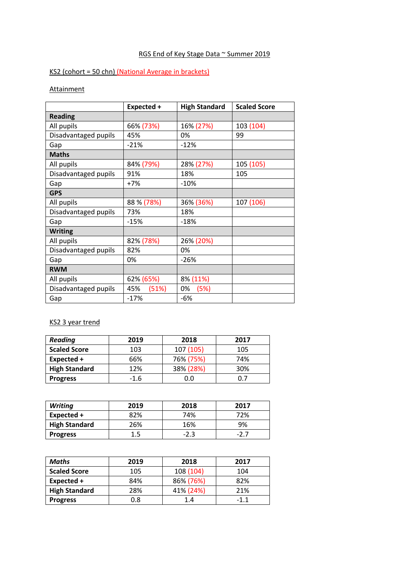# RGS End of Key Stage Data ~ Summer 2019

## KS2 (cohort = 50 chn) (National Average in brackets)

### **Attainment**

|                      | Expected +   | <b>High Standard</b> | <b>Scaled Score</b> |
|----------------------|--------------|----------------------|---------------------|
| <b>Reading</b>       |              |                      |                     |
| All pupils           | 66% (73%)    | 16% (27%)            | 103 (104)           |
| Disadvantaged pupils | 45%          | 0%                   | 99                  |
| Gap                  | $-21%$       | $-12%$               |                     |
| <b>Maths</b>         |              |                      |                     |
| All pupils           | 84% (79%)    | 28% (27%)            | 105 (105)           |
| Disadvantaged pupils | 91%          | 18%                  | 105                 |
| Gap                  | $+7%$        | $-10%$               |                     |
| <b>GPS</b>           |              |                      |                     |
| All pupils           | 88 % (78%)   | 36% (36%)            | 107 (106)           |
| Disadvantaged pupils | 73%          | 18%                  |                     |
| Gap                  | $-15%$       | $-18%$               |                     |
| <b>Writing</b>       |              |                      |                     |
| All pupils           | 82% (78%)    | 26% (20%)            |                     |
| Disadvantaged pupils | 82%          | 0%                   |                     |
| Gap                  | 0%           | $-26%$               |                     |
| <b>RWM</b>           |              |                      |                     |
| All pupils           | 62% (65%)    | 8% (11%)             |                     |
| Disadvantaged pupils | 45%<br>(51%) | (5%)<br>0%           |                     |
| Gap                  | $-17%$       | -6%                  |                     |

### KS2 3 year trend

| <b>Reading</b>       | 2019   | 2018      | 2017 |
|----------------------|--------|-----------|------|
| <b>Scaled Score</b>  | 103    | 107 (105) | 105  |
| Expected +           | 66%    | 76% (75%) | 74%  |
| <b>High Standard</b> | 12%    | 38% (28%) | 30%  |
| <b>Progress</b>      | $-1.6$ | 0.0       | 0.7  |

| <b>Writing</b>       | 2019 | 2018   | 2017 |
|----------------------|------|--------|------|
| Expected +           | 82%  | 74%    | 72%  |
| <b>High Standard</b> | 26%  | 16%    | 9%   |
| <b>Progress</b>      | L.5  | $-2.3$ |      |

| <b>Maths</b>         | 2019 | 2018      | 2017   |
|----------------------|------|-----------|--------|
| <b>Scaled Score</b>  | 105  | 108 (104) | 104    |
| Expected +           | 84%  | 86% (76%) | 82%    |
| <b>High Standard</b> | 28%  | 41% (24%) | 21%    |
| <b>Progress</b>      | 0.8  | 1.4       | $-1.1$ |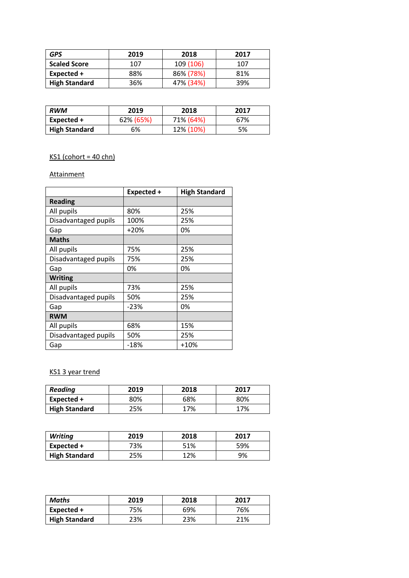| <b>GPS</b>           | 2019 | 2018      | 2017 |
|----------------------|------|-----------|------|
| <b>Scaled Score</b>  | 107  | 109 (106) | 107  |
| Expected +           | 88%  | 86% (78%) | 81%  |
| <b>High Standard</b> | 36%  | 47% (34%) | 39%  |

| <b>RWM</b>           | 2019      | 2018      | 2017 |
|----------------------|-----------|-----------|------|
| Expected +           | 62% (65%) | 71% (64%) | 67%  |
| <b>High Standard</b> | 6%        | 12% (10%) | 5%   |

# $KS1$  (cohort = 40 chn)

#### **Attainment**

|                      | Expected + | <b>High Standard</b> |
|----------------------|------------|----------------------|
| <b>Reading</b>       |            |                      |
| All pupils           | 80%        | 25%                  |
| Disadvantaged pupils | 100%       | 25%                  |
| Gap                  | $+20%$     | 0%                   |
| <b>Maths</b>         |            |                      |
| All pupils           | 75%        | 25%                  |
| Disadvantaged pupils | 75%        | 25%                  |
| Gap                  | 0%         | 0%                   |
| <b>Writing</b>       |            |                      |
| All pupils           | 73%        | 25%                  |
| Disadvantaged pupils | 50%        | 25%                  |
| Gap                  | $-23%$     | 0%                   |
| <b>RWM</b>           |            |                      |
| All pupils           | 68%        | 15%                  |
| Disadvantaged pupils | 50%        | 25%                  |
| Gap                  | -18%       | $+10%$               |

### KS1 3 year trend

| <b>Reading</b>       | 2019 | 2018 | 2017 |
|----------------------|------|------|------|
| Expected +           | 80%  | 68%  | 80%  |
| <b>High Standard</b> | 25%  | 17%  | 17%  |

| <b>Writing</b>       | 2019 | 2018 | 2017 |
|----------------------|------|------|------|
| Expected +           | 73%  | 51%  | 59%  |
| <b>High Standard</b> | 25%  | 2%   | 9%   |

| Maths                | 2019 | 2018 | 2017 |
|----------------------|------|------|------|
| Expected +           | 75%  | 69%  | 76%  |
| <b>High Standard</b> | 23%  | 23%  | 21%  |